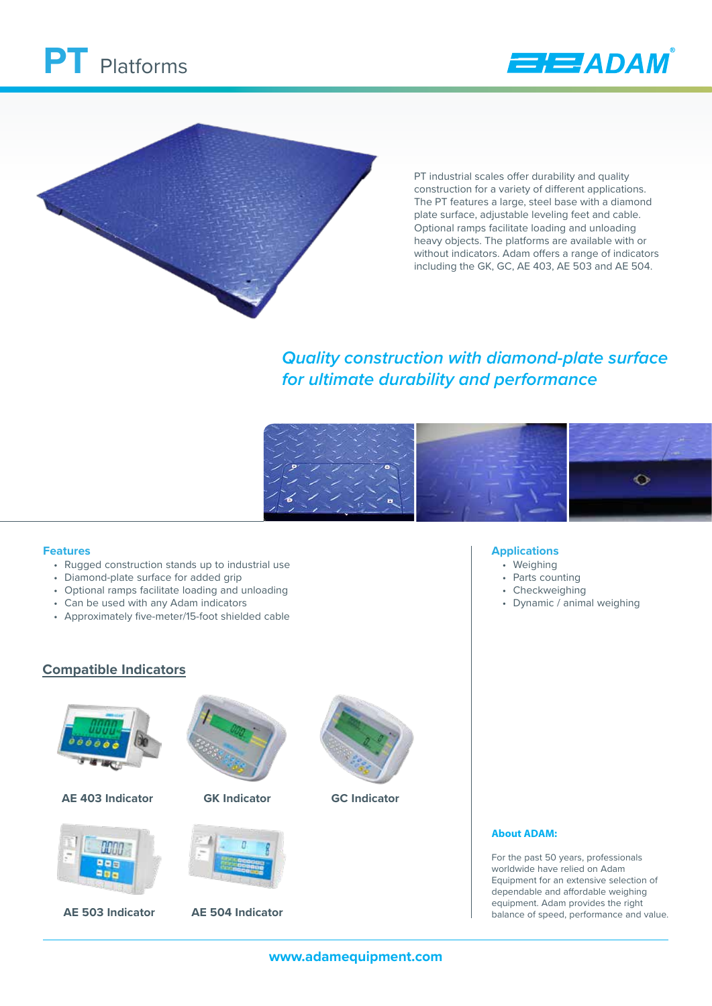





PT industrial scales offer durability and quality construction for a variety of different applications. The PT features a large, steel base with a diamond plate surface, adjustable leveling feet and cable. Optional ramps facilitate loading and unloading heavy objects. The platforms are available with or without indicators. Adam offers a range of indicators including the GK, GC, AE 403, AE 503 and AE 504.

# *Quality construction with diamond-plate surface for ultimate durability and performance*



**Applications** • Weighing • Parts counting • Checkweighing

• Dynamic / animal weighing

#### **Features**

- Rugged construction stands up to industrial use
- Diamond-plate surface for added grip
- Optional ramps facilitate loading and unloading
- Can be used with any Adam indicators
- Approximately five-meter/15-foot shielded cable





**AE 403 Indicator**



**AE 503 Indicator AE 504 Indicator**



**GK Indicator GC Indicator**



### **About ADAM:**

For the past 50 years, professionals worldwide have relied on Adam Equipment for an extensive selection of dependable and affordable weighing equipment. Adam provides the right balance of speed, performance and value.